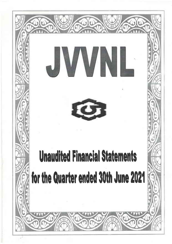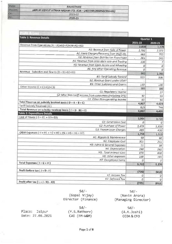|         | RAJASTHAN                                                    |
|---------|--------------------------------------------------------------|
| Discom: | JAIPUR VIDYUT VITRAN NIGAM LTD. (CIN: U40109RJ2000SGC016486) |
|         | 2021-22                                                      |
|         | 2020-21                                                      |

| <b>Table 1: Revenue Details</b>                                 | Quarter 1 |         |
|-----------------------------------------------------------------|-----------|---------|
|                                                                 | 2021-22   | 2020-21 |
| Revenue from Operations (A = A1+A2+A3+A4+A5+A6)                 | 3,850     | 3,378   |
| A1: Revenue from Sale of Power                                  | 2,792     | 2,371   |
| A2: Fixed Charges/Recovery from theft etc.                      | 663       | 755     |
| A3: Revenue from Distribution Franchisee                        | 265       | 245     |
| A4: Revenue from Inter-state sale and Tradina                   | 130       | 7       |
| A5: Revenue from Open Access and Wheeling                       | 0         | 0       |
| A6: Any other Operating Revenue                                 | 0         | O.      |
| Revenue - Subsidies and Grants (B = B1+B2+B3)                   | 962       | 1.066   |
| <b>B1: Tariff Subsidy Booked</b>                                | 829       | 936     |
| <b>B2: Revenue Grant under UDAY</b>                             |           |         |
| <b>B3: Other Subsidies and Grants</b>                           | 133       | 130     |
| Other Income (C = $C1+C2+C3$ )                                  | 185       | 180     |
| C1: Regulatory Income                                           |           | 27      |
| C2: Misc Non-tariff income from consumers (including DPS)       | 92        | 59      |
| Ca: Other Non-operating income                                  | 93        | 94      |
| Total Revenue on subsidy booked basis ( $D = A + B + C$ )       | 4,997     | 4,623   |
| Taciff Subsidy Received (E)                                     | 829       | 744     |
| Total Revenue on subsidy received basis ( $F = D - B1 + E$ )    | 4,997     | 4,431   |
| <b>Table 2: Expenditure Details</b>                             |           |         |
| Cost of Power ( $G = G1 + G2 + G3$ )                            | 3,964     | 3,720   |
| G1: Generation Cost                                             | 0         | 0       |
| G2: Purchase of Power                                           | 3,479     | 3,300   |
| G3: Transmission Charges                                        | 485       | 420     |
| O&M Expenses (H = H1 + H2 + H3 + H4 + H5 + H6 + H7)             | 1,758     | 1,515   |
| H1: Repairs & Maintenance                                       | 69        | 60      |
| H2: Employee Cost                                               | 301       | 211     |
| H3: Admn & General Expenses                                     | 51        | 38      |
| H4 Depreciation                                                 | 280       | 262     |
| H5: Total Interest Cost                                         | 870       | 800     |
| H6: Other expenses                                              | 188       | 144     |
| H7: Exceptional Items                                           | 0         | 0       |
| Total Expenses ( $I = G + H$ )                                  | 5,722     | 5,235   |
|                                                                 |           |         |
| Profit before $\text{tax}$ ( $\text{J} = \text{D} - \text{I}$ ) | (725)     | (612)   |
| K1: Income Tax                                                  | 0         |         |
| K2 Deferred Tax                                                 | 0         | 0       |
| Profit after tax $(L = J - K1 - K2)$                            |           | 0       |
|                                                                 | (725)     | (612)   |

 $Sd/-$ (Gopal Vijay) Director (Finance)

Place: Jaipur Date: 27.08.2021

 $Sd/-$ (Y.S.Rathore) CAO (FM-W&M)

 $Sd/-$ (Navin Arora) (Managing Director)

> $Sd/ (A.K.Joshi)$ CCOA & CFO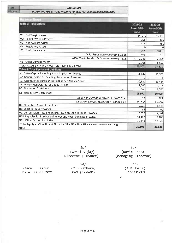State: Discoma

T-1

## **RAJASTHAN** JAIPUR VIDYUT VITRAN NIGAM LTD. (CIN: U40109RJ2000SGC016486)

| <b>Table 3: Total Assets</b>                                                                    | 2021-22<br>As on 30th<br>June | 2020-21<br>As on 30th<br>June |
|-------------------------------------------------------------------------------------------------|-------------------------------|-------------------------------|
| M1: Net Tangible Assets                                                                         | 15,505                        | 15.131                        |
| M2: Capital Work in Progress                                                                    | 325                           | 405                           |
| M3: Non-Current Assets                                                                          | 425                           | 451                           |
| M4: Regulatory Assets                                                                           | Ω                             | $\Omega$                      |
| M5: Trade Receivables                                                                           | 3.231                         | 3,031                         |
| M5a: Trade Receivable Govt. Dept.                                                               | 986                           | 702                           |
| M5b. Trade Receivable Other-than Govt. Dept.                                                    | 2,246                         | 2,329                         |
| M6: Other Current Assets                                                                        | 10,016                        | 8,603                         |
| Total Assets ( $M = M1 + M2 + M3 + M4 + M5 + M6$ )                                              | 29,502                        | 27,621                        |
| <b>Table 4: Total Equity and Liabilities</b>                                                    |                               |                               |
| N1: Share Capital including Share Application Money                                             | 11,447                        | 11,333                        |
| N2: General Reserves Including Revaluation Reserves                                             | Ω                             |                               |
| N3: Accumulated Surplus/ (Deficit) as per Balance Sheet                                         | $-30,880$                     | $-29,484$                     |
| N4: Government Grants for Capital Assets                                                        | 1,201                         | 1,168                         |
| N5: Consumer Contribution<br>٠                                                                  | 3,165                         | 2,972                         |
| N6: Non-current Borrowings                                                                      | 15,971                        | 16,075                        |
| N6a: Non-current Borrowings - State Govt                                                        | 189                           | 189                           |
| N6b: Non-current Borrowings - Banks & FIs                                                       | 15,782                        | 15,886                        |
| N7: Other Non-Current Liabilities                                                               | 1,930                         | 1,848                         |
| N8: Short Term Borrowings                                                                       | 83                            | 60                            |
| N9: Current Maturities and Interest Due on Long Term Borrowings                                 | 2,059                         | 1,499                         |
| N10: Payables for Purchase of Power and Fuel* (*In case of GEDCOs)                              | 10,407                        | 9,103                         |
| N11: Other Current Liabilities                                                                  | 14 119                        | 13,047                        |
| Total Equity and Liabilities ( $N = N1 + N2 + N3 + N4 + N5 + N6 + N7 + N8 + N9 + N10 +$<br>N11) | 29,502                        | 27,621                        |

 $Sd/-$ (Gopal Vijay) Director (Finance)

 $Sd/-$ (Navin Arora) (Managing Director)

Place: Jaipur Date: 27.08.2021

 $Sd/-$ (Y.S.Rathore) CAO (FM-W&M)

 $Sd/ (A.K.Joshi)$ CCOA & CFO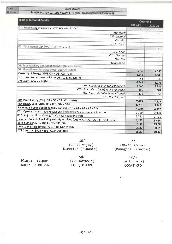**RAJASTHAN** 

JAIPUR VIDYUT VITRAN NIGAM LTD. (CIN : U40109RJ2000SGC016486)

| <b>Table 5: Technical Details</b>                                                 | Quarter 1 |         |
|-----------------------------------------------------------------------------------|-----------|---------|
|                                                                                   | 2021-22   | 2020-21 |
| O1: Total Installed Capacity (MW) (Quarter Ended)                                 |           |         |
| O1a: Hydel                                                                        |           |         |
| O1b: Thermal                                                                      |           |         |
| Olc: Gas                                                                          |           |         |
| O1d: Others                                                                       |           |         |
| 02: Total Generation (MU) (Quarter Ended)                                         | z.        |         |
| O2a: Hydel                                                                        | ×.        | ٠       |
| O2b: Thermal                                                                      | ÷         |         |
| O2c: Gas                                                                          | ×.<br>×   | ×       |
| O2d: Others                                                                       | i in      |         |
| O3: Total Auxiliary Consumption (MU) (Quarter Ended)                              |           |         |
| O4 : Gross Power Purchase (MU) (Quarter Ended)                                    | 8,542     | 7,583   |
| Gross Input Energy (MU) (OS = OZ - O3 + O4)                                       | 8,542     | 7,583   |
| O6: Transmission Losses (MU)(interstate & Intrastate)                             | 468       | 433     |
| O7: Gross Energy sold (MU)                                                        | 6,642     | 5,275   |
| O7a: Energy Sold to own consumers                                                 | 5,845     | 4,855   |
| O7b: Bulk Sale to Distribution Franchisee                                         | 405       | 387     |
| O7c: Interstate Sale/ Energy Traded                                               | 391       | 33      |
| O7d: Net UI Export                                                                |           |         |
| Net Input Energy (MU) (O8 = O5 - O6 - O7c - O7d)                                  | 7.683     | 7.117   |
| Net Energy Sold (MU) (O9 = 07 - 07c - 07d)                                        | 6,251     | 5,242   |
| Revenue Billed including subsidy booked (O10 = A1 + A2 + A3 + B1)                 | 4,549     | 4,307   |
| O11: Opening Gross Trade Receivable (Incruding any adjustments) (Rs crore)        | 3,339     | 2,860   |
| O12: Adjusted Gross Closing Trade Receivables (Rs crore)                          | 3,711     | 3,491   |
| Revenue Collected including subsidy received (O13 = A1 + A2 + A3 + E + O11 - O12) | 4,177     | 3,484   |
| Billing Efficiency (%) (014 = 09/08*100)                                          | 81.36     | 73.66   |
| Collection Efficiency (%) (O15 = 013/010*100)                                     | 91.82     | 80.89   |
| AT&C Loss (%) (O16 = 100 - O14*O15/100)                                           | 25.30     | 40,42   |

 $Sd/-$ (Gopal Vijay) Director (Finance)

 $Sd/-$ (Navin Arora) (Managing Director)

> $Sd/ (A.K.Joshi)$ CCOA & CFO

Place: Jaipur Date: 27.08.2021

 $Sd/-$ (Y.S.Rathore) CAO (FM-W&M)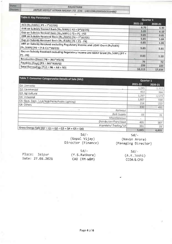JAIPUR VIDYUT VITRAN NIGAM LTD. (CIN : U40109RI2000SGC016486)

| Table 6: Key Parameters                                                                        |         | Quarter 1 |  |
|------------------------------------------------------------------------------------------------|---------|-----------|--|
| ACS (Rs./kWh) (P1 = 1*10/O5)                                                                   | 2021-22 | 2020-21   |  |
| ARR on Subsidy Booked Basis (Rs./kWh) (P2 = D*10/O5)                                           | 6.70    | 6.90      |  |
| Gap on Subsidy Booked Basis (Rs./kWh) (P3 = P1 - P2)                                           | 5.85    | 6, 10     |  |
| ARR on Subsidy Received Basis (Rs./kWh) (P4 = F*10/O5)                                         | 0,85    | 0.81      |  |
| Gap on Subsidy Received Basis (Rs./kWh) (P5 = P1 - P4)                                         | 5.85    | 5.84      |  |
| ARR on Subsidy Received excluding Regulatory Income and UDAY Grant (Rs/kWh)                    | 0.85    | 1.06      |  |
| $(Rs./kWh)$ (P6 = (F-B-C1)*10/O5)                                                              | 5.85    | 5.81      |  |
| Gap on Subsidy Received excluding Regulatory Income and UDAY Grant (Rs./kWh) (P7 =<br>P1 - P6) | 0.85    | 1.10      |  |
| Receivables (Days) (P8 = 365*M5/A)                                                             |         |           |  |
| Payables (Days) (P9 = 365*N10/G)                                                               | 76      | 72        |  |
| Total Borrowings (P10 = $N6 + N8 + N9$ )                                                       | 239     | 223       |  |
|                                                                                                | 18,113  | 17.634    |  |

| Table 7: Consumer Categorywise Details of Sale (MU)         |                         | Quarter 1 |           |
|-------------------------------------------------------------|-------------------------|-----------|-----------|
| Q1: Domestic                                                |                         | 2021-22   | 2020-21   |
| Q2: Commercial                                              |                         | 1,245     | 1,313     |
| Q3: Agricultural                                            |                         | 453       | 366       |
| Q4: Industrial                                              |                         | 1,297     | 1,573     |
|                                                             |                         | 1,807     | 938       |
| Q5: Govt. Dept. (ULB/RLB/PWW/Public Lighting)<br>Q6: Others |                         | 214       | 223       |
|                                                             |                         | 830       | 451       |
|                                                             | Railways                |           |           |
|                                                             | <b>Bulk Supply</b>      | 33        | 31        |
|                                                             | Miscellaneous           |           |           |
|                                                             | Distribution Franchisee | 405       |           |
|                                                             | Interstate/Trading/UI   | 391       | 387<br>33 |
| Gross Energy Sold (Q7 = Q1 + Q2 + Q3 + Q4 + Q5 + Q6)        |                         | 5,845     | 4,855     |

 $Sd/-$ (Gopal Vijay) Director (Finance)

 $Sd/-$ 

(Navin Arora)<br>(Managing Director)

|                  | Sd/4          | $Sd/-$      |
|------------------|---------------|-------------|
| Place: Jaipur    | (Y.S.Rathore) | (A.K.Joshi) |
| Date: 27.08.2021 | CAO (FM-W&M)  | CCOA & CFO  |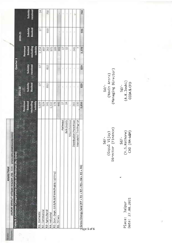| JAIPUR VIDYUT VITRAN NIGAM LTD. (CIN: U40109RJ2000SGC016486) |                 |                   |           |                      |               |         |
|--------------------------------------------------------------|-----------------|-------------------|-----------|----------------------|---------------|---------|
| e Details of Revenue (Rs. Crore)                             |                 |                   | Quarter 1 |                      |               |         |
|                                                              |                 |                   |           |                      | 2020-21       |         |
|                                                              | Revenue         |                   |           | Revenue              |               |         |
|                                                              | <b>Booked</b>   |                   | Subsidy   | <b>Booked</b>        | Subsidy       | absid   |
|                                                              | excluding       | Subsidy<br>Booked | received  |                      | <b>Booked</b> | receive |
|                                                              | <b>Subsidy</b>  |                   |           | axcluding<br>subsidy |               |         |
| R1: Domestic                                                 | 1,029           | ħ                 | ħ         | 1,154                | ħ             |         |
| R2: Commercial                                               | 524             |                   |           | 497                  |               |         |
| R3: Agricultural                                             | $\frac{141}{2}$ | 812               | 812       | 262                  | 919           | 730     |
| R4. Industrial                                               | 1,532           |                   |           | 575                  |               |         |
| R5: Govt Dept. (ULB/RLB/PWW/Public lighting)                 | 178             |                   |           | 381                  |               |         |
| R6: Others                                                   | 445             |                   |           | ior                  |               |         |
|                                                              | D<br>Railways   | ۱                 |           | ₽                    |               |         |
| <b>Bulk Supply</b>                                           | 뵭               |                   |           | 뎒                    |               |         |
| Miscellaneous                                                |                 |                   |           |                      |               |         |
| Distribution Franchisee                                      | 265             | ŧ                 |           | 245                  |               |         |
| Interstate/Tradina/UI                                        | Å               |                   |           |                      |               |         |
| Gross Energy Sold (R7 = R1 + R2 + R3 + R4 + R5 + R6)         | 3,850           | 829               | 829       | 3,378                | 936           | 744     |
|                                                              |                 |                   |           |                      |               |         |

RAJASTHAN

Discom State

Page 5 of 6

Sd/-<br>(Gopal Vijay)<br>Director (Finance)

Sd/-<br>(Navin Arora)<br>(Managing Director)

Sd/-<br>(Y.S.Rathore)<br>(AO (FM-W&M)

Sd/-<br>(A.K.Joshi)<br>CCOA & CFO

Place: Jaipur<br>Date: 27.08.2021